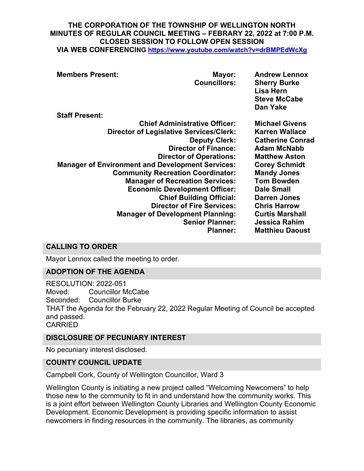## **THE CORPORATION OF THE TOWNSHIP OF WELLINGTON NORTH MINUTES OF REGULAR COUNCIL MEETING – FEBRARY 22, 2022 at 7:00 P.M. CLOSED SESSION TO FOLLOW OPEN SESSION**

**VIA WEB CONFERENCING <https://www.youtube.com/watch?v=drBMPEdWcXg>**

| <b>Members Present:</b>                                 | Mayor:<br><b>Councillors:</b>        | <b>Andrew Lennox</b><br><b>Sherry Burke</b><br>Lisa Hern<br><b>Steve McCabe</b><br>Dan Yake |
|---------------------------------------------------------|--------------------------------------|---------------------------------------------------------------------------------------------|
| <b>Staff Present:</b>                                   |                                      |                                                                                             |
|                                                         | <b>Chief Administrative Officer:</b> | <b>Michael Givens</b>                                                                       |
| <b>Director of Legislative Services/Clerk:</b>          |                                      | <b>Karren Wallace</b>                                                                       |
|                                                         | <b>Deputy Clerk:</b>                 | <b>Catherine Conrad</b>                                                                     |
|                                                         | <b>Director of Finance:</b>          | <b>Adam McNabb</b>                                                                          |
|                                                         | <b>Director of Operations:</b>       | <b>Matthew Aston</b>                                                                        |
| <b>Manager of Environment and Development Services:</b> |                                      | <b>Corey Schmidt</b>                                                                        |
| <b>Community Recreation Coordinator:</b>                |                                      | <b>Mandy Jones</b>                                                                          |
| <b>Manager of Recreation Services:</b>                  |                                      | <b>Tom Bowden</b>                                                                           |
| <b>Economic Development Officer:</b>                    |                                      | <b>Dale Small</b>                                                                           |
|                                                         | <b>Chief Building Official:</b>      | <b>Darren Jones</b>                                                                         |
|                                                         | <b>Director of Fire Services:</b>    | <b>Chris Harrow</b>                                                                         |
| <b>Manager of Development Planning:</b>                 |                                      | <b>Curtis Marshall</b>                                                                      |
|                                                         | <b>Senior Planner:</b>               | <b>Jessica Rahim</b>                                                                        |
|                                                         | <b>Planner:</b>                      | <b>Matthieu Daoust</b>                                                                      |

### **CALLING TO ORDER**

Mayor Lennox called the meeting to order.

### **ADOPTION OF THE AGENDA**

RESOLUTION: 2022-051 Moved: Councillor McCabe Seconded: Councillor Burke THAT the Agenda for the February 22, 2022 Regular Meeting of Council be accepted and passed. CARRIED

#### **DISCLOSURE OF PECUNIARY INTEREST**

No pecuniary interest disclosed.

#### **COUNTY COUNCIL UPDATE**

Campbell Cork, County of Wellington Councillor, Ward 3

Wellington County is initiating a new project called "Welcoming Newcomers" to help those new to the community to fit in and understand how the community works. This is a joint effort between Wellington County Libraries and Wellington County Economic Development. Economic Development is providing specific information to assist newcomers in finding resources in the community. The libraries, as community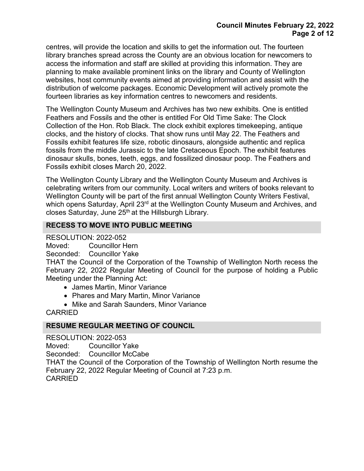centres, will provide the location and skills to get the information out. The fourteen library branches spread across the County are an obvious location for newcomers to access the information and staff are skilled at providing this information. They are planning to make available prominent links on the library and County of Wellington websites, host community events aimed at providing information and assist with the distribution of welcome packages. Economic Development will actively promote the fourteen libraries as key information centres to newcomers and residents.

The Wellington County Museum and Archives has two new exhibits. One is entitled Feathers and Fossils and the other is entitled For Old Time Sake: The Clock Collection of the Hon. Rob Black. The clock exhibit explores timekeeping, antique clocks, and the history of clocks. That show runs until May 22. The Feathers and Fossils exhibit features life size, robotic dinosaurs, alongside authentic and replica fossils from the middle Jurassic to the late Cretaceous Epoch. The exhibit features dinosaur skulls, bones, teeth, eggs, and fossilized dinosaur poop. The Feathers and Fossils exhibit closes March 20, 2022.

The Wellington County Library and the Wellington County Museum and Archives is celebrating writers from our community. Local writers and writers of books relevant to Wellington County will be part of the first annual Wellington County Writers Festival, which opens Saturday, April 23<sup>rd</sup> at the Wellington County Museum and Archives, and closes Saturday, June  $25<sup>th</sup>$  at the Hillsburgh Library.

### **RECESS TO MOVE INTO PUBLIC MEETING**

RESOLUTION: 2022-052

Moved: Councillor Hern

Seconded: Councillor Yake

THAT the Council of the Corporation of the Township of Wellington North recess the February 22, 2022 Regular Meeting of Council for the purpose of holding a Public Meeting under the Planning Act:

- James Martin, Minor Variance
- Phares and Mary Martin, Minor Variance
- Mike and Sarah Saunders, Minor Variance

CARRIED

### **RESUME REGULAR MEETING OF COUNCIL**

RESOLUTION: 2022-053

Moved: Councillor Yake

Seconded: Councillor McCabe

THAT the Council of the Corporation of the Township of Wellington North resume the February 22, 2022 Regular Meeting of Council at 7:23 p.m. CARRIED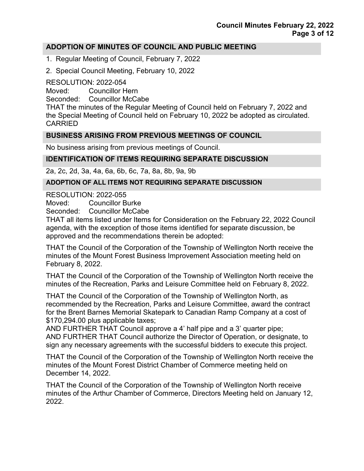### **ADOPTION OF MINUTES OF COUNCIL AND PUBLIC MEETING**

- 1. Regular Meeting of Council, February 7, 2022
- 2. Special Council Meeting, February 10, 2022

RESOLUTION: 2022-054

Moved: Councillor Hern

Seconded: Councillor McCabe

THAT the minutes of the Regular Meeting of Council held on February 7, 2022 and the Special Meeting of Council held on February 10, 2022 be adopted as circulated. CARRIED

### **BUSINESS ARISING FROM PREVIOUS MEETINGS OF COUNCIL**

No business arising from previous meetings of Council.

## **IDENTIFICATION OF ITEMS REQUIRING SEPARATE DISCUSSION**

2a, 2c, 2d, 3a, 4a, 6a, 6b, 6c, 7a, 8a, 8b, 9a, 9b

### **ADOPTION OF ALL ITEMS NOT REQUIRING SEPARATE DISCUSSION**

RESOLUTION: 2022-055

Moved: Councillor Burke

Seconded: Councillor McCabe

THAT all items listed under Items for Consideration on the February 22, 2022 Council agenda, with the exception of those items identified for separate discussion, be approved and the recommendations therein be adopted:

THAT the Council of the Corporation of the Township of Wellington North receive the minutes of the Mount Forest Business Improvement Association meeting held on February 8, 2022.

THAT the Council of the Corporation of the Township of Wellington North receive the minutes of the Recreation, Parks and Leisure Committee held on February 8, 2022.

THAT the Council of the Corporation of the Township of Wellington North, as recommended by the Recreation, Parks and Leisure Committee, award the contract for the Brent Barnes Memorial Skatepark to Canadian Ramp Company at a cost of \$170,294.00 plus applicable taxes;

AND FURTHER THAT Council approve a 4' half pipe and a 3' quarter pipe; AND FURTHER THAT Council authorize the Director of Operation, or designate, to sign any necessary agreements with the successful bidders to execute this project.

THAT the Council of the Corporation of the Township of Wellington North receive the minutes of the Mount Forest District Chamber of Commerce meeting held on December 14, 2022.

THAT the Council of the Corporation of the Township of Wellington North receive minutes of the Arthur Chamber of Commerce, Directors Meeting held on January 12, 2022.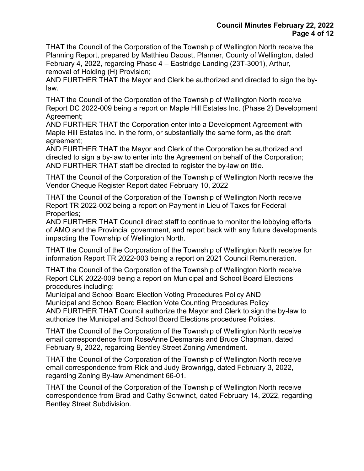THAT the Council of the Corporation of the Township of Wellington North receive the Planning Report, prepared by Matthieu Daoust, Planner, County of Wellington, dated February 4, 2022, regarding Phase 4 – Eastridge Landing (23T-3001), Arthur, removal of Holding (H) Provision;

AND FURTHER THAT the Mayor and Clerk be authorized and directed to sign the bylaw.

THAT the Council of the Corporation of the Township of Wellington North receive Report DC 2022-009 being a report on Maple Hill Estates Inc. (Phase 2) Development Agreement;

AND FURTHER THAT the Corporation enter into a Development Agreement with Maple Hill Estates Inc. in the form, or substantially the same form, as the draft agreement;

AND FURTHER THAT the Mayor and Clerk of the Corporation be authorized and directed to sign a by-law to enter into the Agreement on behalf of the Corporation; AND FURTHER THAT staff be directed to register the by-law on title.

THAT the Council of the Corporation of the Township of Wellington North receive the Vendor Cheque Register Report dated February 10, 2022

THAT the Council of the Corporation of the Township of Wellington North receive Report TR 2022-002 being a report on Payment in Lieu of Taxes for Federal Properties;

AND FURTHER THAT Council direct staff to continue to monitor the lobbying efforts of AMO and the Provincial government, and report back with any future developments impacting the Township of Wellington North.

THAT the Council of the Corporation of the Township of Wellington North receive for information Report TR 2022-003 being a report on 2021 Council Remuneration.

THAT the Council of the Corporation of the Township of Wellington North receive Report CLK 2022-009 being a report on Municipal and School Board Elections procedures including:

Municipal and School Board Election Voting Procedures Policy AND Municipal and School Board Election Vote Counting Procedures Policy AND FURTHER THAT Council authorize the Mayor and Clerk to sign the by-law to authorize the Municipal and School Board Elections procedures Policies.

THAT the Council of the Corporation of the Township of Wellington North receive email correspondence from RoseAnne Desmarais and Bruce Chapman, dated February 9, 2022, regarding Bentley Street Zoning Amendment.

THAT the Council of the Corporation of the Township of Wellington North receive email correspondence from Rick and Judy Brownrigg, dated February 3, 2022, regarding Zoning By-law Amendment 66-01.

THAT the Council of the Corporation of the Township of Wellington North receive correspondence from Brad and Cathy Schwindt, dated February 14, 2022, regarding Bentley Street Subdivision.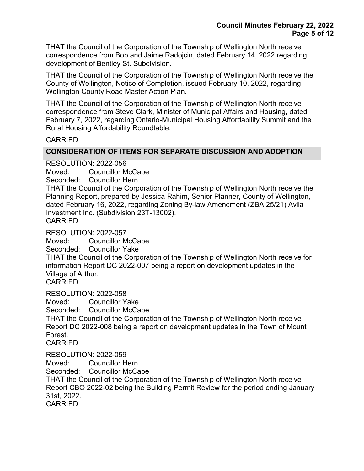THAT the Council of the Corporation of the Township of Wellington North receive correspondence from Bob and Jaime Radojcin, dated February 14, 2022 regarding development of Bentley St. Subdivision.

THAT the Council of the Corporation of the Township of Wellington North receive the County of Wellington, Notice of Completion, issued February 10, 2022, regarding Wellington County Road Master Action Plan.

THAT the Council of the Corporation of the Township of Wellington North receive correspondence from Steve Clark, Minister of Municipal Affairs and Housing, dated February 7, 2022, regarding Ontario-Municipal Housing Affordability Summit and the Rural Housing Affordability Roundtable.

### CARRIED

### **CONSIDERATION OF ITEMS FOR SEPARATE DISCUSSION AND ADOPTION**

RESOLUTION: 2022-056

Moved: Councillor McCabe

Seconded: Councillor Hern

THAT the Council of the Corporation of the Township of Wellington North receive the Planning Report, prepared by Jessica Rahim, Senior Planner, County of Wellington, dated February 16, 2022, regarding Zoning By-law Amendment (ZBA 25/21) Avila Investment Inc. (Subdivision 23T-13002). CARRIED

RESOLUTION: 2022-057

Moved: Councillor McCabe

Seconded: Councillor Yake

THAT the Council of the Corporation of the Township of Wellington North receive for information Report DC 2022-007 being a report on development updates in the Village of Arthur.

CARRIED

RESOLUTION: 2022-058

Moved: Councillor Yake

Seconded: Councillor McCabe

THAT the Council of the Corporation of the Township of Wellington North receive Report DC 2022-008 being a report on development updates in the Town of Mount Forest.

CARRIED

RESOLUTION: 2022-059

Moved: Councillor Hern

Seconded: Councillor McCabe

THAT the Council of the Corporation of the Township of Wellington North receive Report CBO 2022-02 being the Building Permit Review for the period ending January 31st, 2022.

CARRIED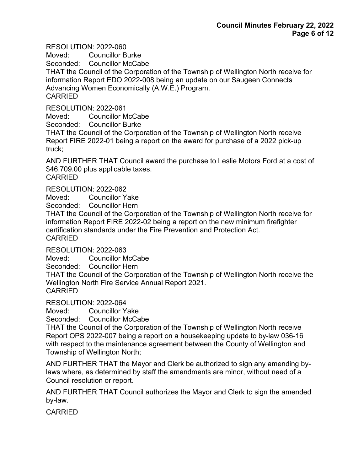RESOLUTION: 2022-060

Moved: Councillor Burke

Seconded: Councillor McCabe

THAT the Council of the Corporation of the Township of Wellington North receive for information Report EDO 2022-008 being an update on our Saugeen Connects Advancing Women Economically (A.W.E.) Program. CARRIED

RESOLUTION: 2022-061

Moved: Councillor McCabe

Seconded: Councillor Burke

THAT the Council of the Corporation of the Township of Wellington North receive Report FIRE 2022-01 being a report on the award for purchase of a 2022 pick-up truck;

AND FURTHER THAT Council award the purchase to Leslie Motors Ford at a cost of \$46,709.00 plus applicable taxes. **CARRIED** 

RESOLUTION: 2022-062

Moved: Councillor Yake

Seconded: Councillor Hern

THAT the Council of the Corporation of the Township of Wellington North receive for information Report FIRE 2022-02 being a report on the new minimum firefighter certification standards under the Fire Prevention and Protection Act. CARRIED

RESOLUTION: 2022-063

Moved: Councillor McCabe

Seconded: Councillor Hern

THAT the Council of the Corporation of the Township of Wellington North receive the Wellington North Fire Service Annual Report 2021.

CARRIED

RESOLUTION: 2022-064

Moved: Councillor Yake

Seconded: Councillor McCabe

THAT the Council of the Corporation of the Township of Wellington North receive Report OPS 2022-007 being a report on a housekeeping update to by-law 036-16 with respect to the maintenance agreement between the County of Wellington and Township of Wellington North;

AND FURTHER THAT the Mayor and Clerk be authorized to sign any amending bylaws where, as determined by staff the amendments are minor, without need of a Council resolution or report.

AND FURTHER THAT Council authorizes the Mayor and Clerk to sign the amended by-law.

CARRIED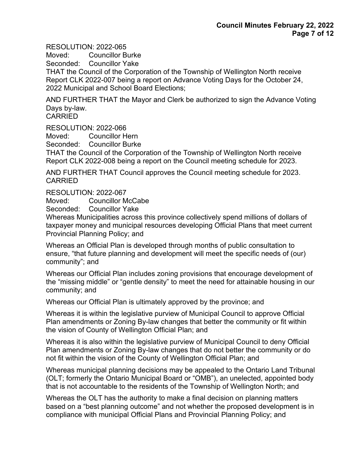RESOLUTION: 2022-065

Moved: Councillor Burke

Seconded: Councillor Yake

THAT the Council of the Corporation of the Township of Wellington North receive Report CLK 2022-007 being a report on Advance Voting Days for the October 24, 2022 Municipal and School Board Elections;

AND FURTHER THAT the Mayor and Clerk be authorized to sign the Advance Voting Days by-law.

CARRIED

RESOLUTION: 2022-066

Moved: Councillor Hern

Seconded: Councillor Burke

THAT the Council of the Corporation of the Township of Wellington North receive Report CLK 2022-008 being a report on the Council meeting schedule for 2023.

AND FURTHER THAT Council approves the Council meeting schedule for 2023. CARRIED

RESOLUTION: 2022-067

Moved: Councillor McCabe

Seconded: Councillor Yake

Whereas Municipalities across this province collectively spend millions of dollars of taxpayer money and municipal resources developing Official Plans that meet current Provincial Planning Policy; and

Whereas an Official Plan is developed through months of public consultation to ensure, "that future planning and development will meet the specific needs of (our) community"; and

Whereas our Official Plan includes zoning provisions that encourage development of the "missing middle" or "gentle density" to meet the need for attainable housing in our community; and

Whereas our Official Plan is ultimately approved by the province; and

Whereas it is within the legislative purview of Municipal Council to approve Official Plan amendments or Zoning By-law changes that better the community or fit within the vision of County of Wellington Official Plan; and

Whereas it is also within the legislative purview of Municipal Council to deny Official Plan amendments or Zoning By-law changes that do not better the community or do not fit within the vision of the County of Wellington Official Plan; and

Whereas municipal planning decisions may be appealed to the Ontario Land Tribunal (OLT; formerly the Ontario Municipal Board or "OMB"), an unelected, appointed body that is not accountable to the residents of the Township of Wellington North; and

Whereas the OLT has the authority to make a final decision on planning matters based on a "best planning outcome" and not whether the proposed development is in compliance with municipal Official Plans and Provincial Planning Policy; and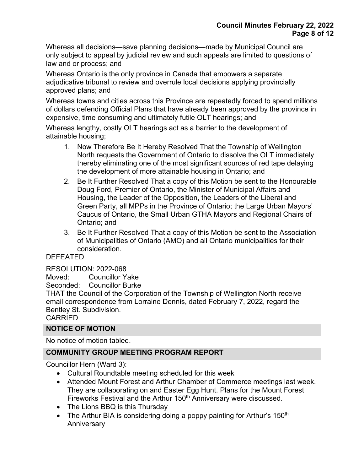Whereas all decisions—save planning decisions—made by Municipal Council are only subject to appeal by judicial review and such appeals are limited to questions of law and or process; and

Whereas Ontario is the only province in Canada that empowers a separate adjudicative tribunal to review and overrule local decisions applying provincially approved plans; and

Whereas towns and cities across this Province are repeatedly forced to spend millions of dollars defending Official Plans that have already been approved by the province in expensive, time consuming and ultimately futile OLT hearings; and

Whereas lengthy, costly OLT hearings act as a barrier to the development of attainable housing;

- 1. Now Therefore Be It Hereby Resolved That the Township of Wellington North requests the Government of Ontario to dissolve the OLT immediately thereby eliminating one of the most significant sources of red tape delaying the development of more attainable housing in Ontario; and
- 2. Be It Further Resolved That a copy of this Motion be sent to the Honourable Doug Ford, Premier of Ontario, the Minister of Municipal Affairs and Housing, the Leader of the Opposition, the Leaders of the Liberal and Green Party, all MPPs in the Province of Ontario; the Large Urban Mayors' Caucus of Ontario, the Small Urban GTHA Mayors and Regional Chairs of Ontario; and
- 3. Be It Further Resolved That a copy of this Motion be sent to the Association of Municipalities of Ontario (AMO) and all Ontario municipalities for their consideration.

## DEFEATED

RESOLUTION: 2022-068

Moved: Councillor Yake

Seconded: Councillor Burke

THAT the Council of the Corporation of the Township of Wellington North receive email correspondence from Lorraine Dennis, dated February 7, 2022, regard the Bentley St. Subdivision.

## CARRIED

## **NOTICE OF MOTION**

No notice of motion tabled.

## **COMMUNITY GROUP MEETING PROGRAM REPORT**

Councillor Hern (Ward 3):

- Cultural Roundtable meeting scheduled for this week
- Attended Mount Forest and Arthur Chamber of Commerce meetings last week. They are collaborating on and Easter Egg Hunt. Plans for the Mount Forest Fireworks Festival and the Arthur 150<sup>th</sup> Anniversary were discussed.
- The Lions BBQ is this Thursday
- The Arthur BIA is considering doing a poppy painting for Arthur's 150<sup>th</sup> Anniversary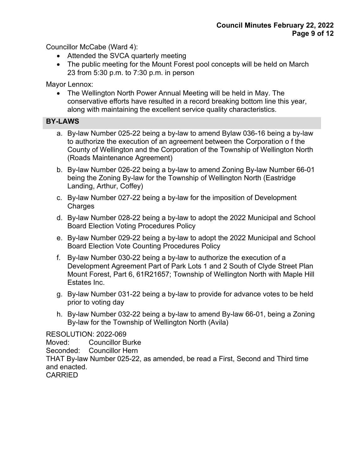Councillor McCabe (Ward 4):

- Attended the SVCA quarterly meeting
- The public meeting for the Mount Forest pool concepts will be held on March 23 from 5:30 p.m. to 7:30 p.m. in person

Mayor Lennox:

• The Wellington North Power Annual Meeting will be held in May. The conservative efforts have resulted in a record breaking bottom line this year, along with maintaining the excellent service quality characteristics.

## **BY-LAWS**

- a. By-law Number 025-22 being a by-law to amend Bylaw 036-16 being a by-law to authorize the execution of an agreement between the Corporation o f the County of Wellington and the Corporation of the Township of Wellington North (Roads Maintenance Agreement)
- b. By-law Number 026-22 being a by-law to amend Zoning By-law Number 66-01 being the Zoning By-law for the Township of Wellington North (Eastridge Landing, Arthur, Coffey)
- c. By-law Number 027-22 being a by-law for the imposition of Development **Charges**
- d. By-law Number 028-22 being a by-law to adopt the 2022 Municipal and School Board Election Voting Procedures Policy
- e. By-law Number 029-22 being a by-law to adopt the 2022 Municipal and School Board Election Vote Counting Procedures Policy
- f. By-law Number 030-22 being a by-law to authorize the execution of a Development Agreement Part of Park Lots 1 and 2 South of Clyde Street Plan Mount Forest, Part 6, 61R21657; Township of Wellington North with Maple Hill Estates Inc.
- g. By-law Number 031-22 being a by-law to provide for advance votes to be held prior to voting day
- h. By-law Number 032-22 being a by-law to amend By-law 66-01, being a Zoning By-law for the Township of Wellington North (Avila)

## RESOLUTION: 2022-069

Moved: Councillor Burke Seconded: Councillor Hern THAT By-law Number 025-22, as amended, be read a First, Second and Third time and enacted. CARRIED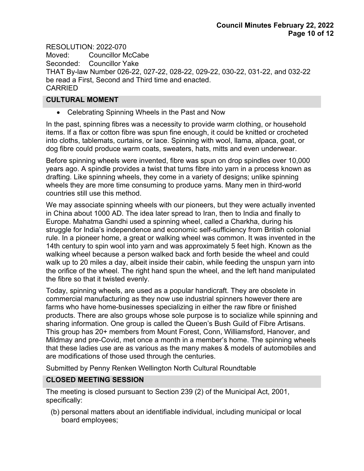RESOLUTION: 2022-070 Moved: Councillor McCabe Seconded: Councillor Yake THAT By-law Number 026-22, 027-22, 028-22, 029-22, 030-22, 031-22, and 032-22 be read a First, Second and Third time and enacted. CARRIED

### **CULTURAL MOMENT**

• Celebrating Spinning Wheels in the Past and Now

In the past, spinning fibres was a necessity to provide warm clothing, or household items. If a flax or cotton fibre was spun fine enough, it could be knitted or crocheted into cloths, tablemats, curtains, or lace. Spinning with wool, llama, alpaca, goat, or dog fibre could produce warm coats, sweaters, hats, mitts and even underwear.

Before spinning wheels were invented, fibre was spun on drop spindles over 10,000 years ago. A spindle provides a twist that turns fibre into yarn in a process known as drafting. Like spinning wheels, they come in a variety of designs; unlike spinning wheels they are more time consuming to produce yarns. Many men in third-world countries still use this method.

We may associate spinning wheels with our pioneers, but they were actually invented in China about 1000 AD. The idea later spread to Iran, then to India and finally to Europe. Mahatma Gandhi used a spinning wheel, called a Charkha, during his struggle for India's independence and economic self-sufficiency from British colonial rule. In a pioneer home, a great or walking wheel was common. It was invented in the 14th century to spin wool into yarn and was approximately 5 feet high. Known as the walking wheel because a person walked back and forth beside the wheel and could walk up to 20 miles a day, albeit inside their cabin, while feeding the unspun yarn into the orifice of the wheel. The right hand spun the wheel, and the left hand manipulated the fibre so that it twisted evenly.

Today, spinning wheels, are used as a popular handicraft. They are obsolete in commercial manufacturing as they now use industrial spinners however there are farms who have home-businesses specializing in either the raw fibre or finished products. There are also groups whose sole purpose is to socialize while spinning and sharing information. One group is called the Queen's Bush Guild of Fibre Artisans. This group has 20+ members from Mount Forest, Conn, Williamsford, Hanover, and Mildmay and pre-Covid, met once a month in a member's home. The spinning wheels that these ladies use are as various as the many makes & models of automobiles and are modifications of those used through the centuries.

Submitted by Penny Renken Wellington North Cultural Roundtable

## **CLOSED MEETING SESSION**

The meeting is closed pursuant to Section 239 (2) of the Municipal Act, 2001, specifically:

(b) personal matters about an identifiable individual, including municipal or local board employees;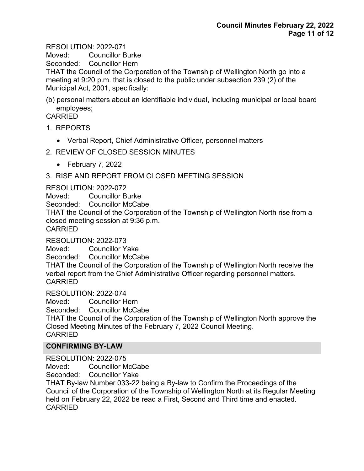RESOLUTION: 2022-071

Moved: Councillor Burke

Seconded: Councillor Hern

THAT the Council of the Corporation of the Township of Wellington North go into a meeting at 9:20 p.m. that is closed to the public under subsection 239 (2) of the Municipal Act, 2001, specifically:

(b) personal matters about an identifiable individual, including municipal or local board employees;

CARRIED

- 1. REPORTS
	- Verbal Report, Chief Administrative Officer, personnel matters
- 2. REVIEW OF CLOSED SESSION MINUTES
	- February 7, 2022
- 3. RISE AND REPORT FROM CLOSED MEETING SESSION

RESOLUTION: 2022-072

Moved: Councillor Burke

Seconded: Councillor McCabe

THAT the Council of the Corporation of the Township of Wellington North rise from a closed meeting session at 9:36 p.m.

**CARRIED** 

RESOLUTION: 2022-073

Moved: Councillor Yake Seconded: Councillor McCabe

THAT the Council of the Corporation of the Township of Wellington North receive the verbal report from the Chief Administrative Officer regarding personnel matters. CARRIED

RESOLUTION: 2022-074

Moved: Councillor Hern Seconded: Councillor McCabe

THAT the Council of the Corporation of the Township of Wellington North approve the Closed Meeting Minutes of the February 7, 2022 Council Meeting.

CARRIED

## **CONFIRMING BY-LAW**

RESOLUTION: 2022-075

Moved: Councillor McCabe

Seconded: Councillor Yake

THAT By-law Number 033-22 being a By-law to Confirm the Proceedings of the Council of the Corporation of the Township of Wellington North at its Regular Meeting held on February 22, 2022 be read a First, Second and Third time and enacted. CARRIED